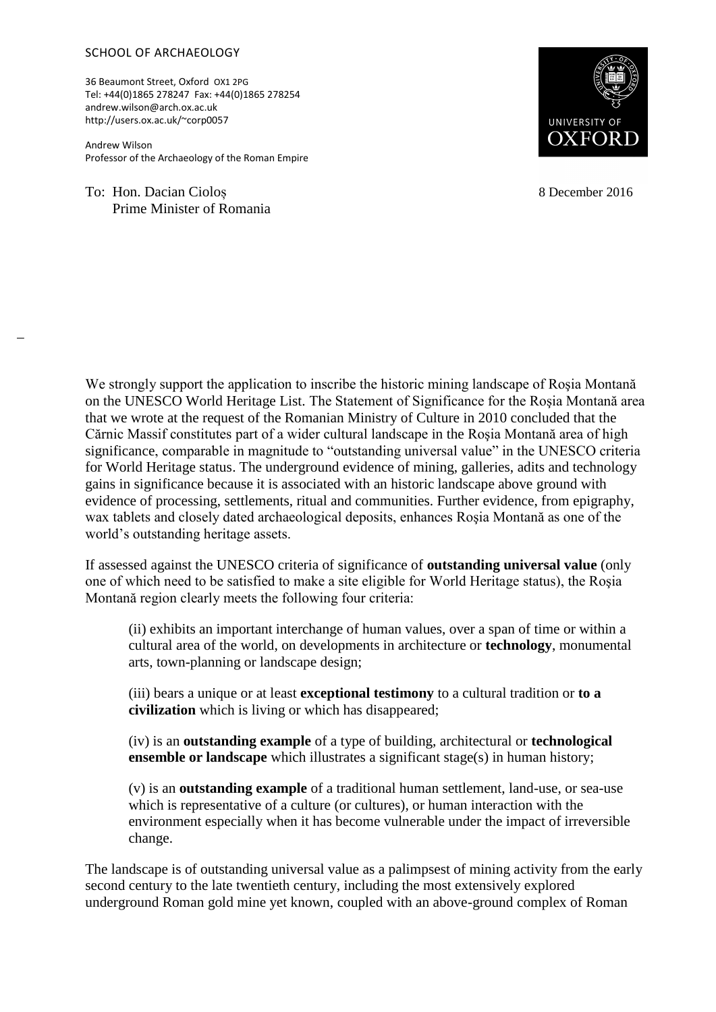## SCHOOL OF ARCHAEOLOGY

36 Beaumont Street, Oxford OX1 2PG Tel: +44(0)1865 278247 Fax: +44(0)1865 278254 andrew.wilson@arch.ox.ac.uk http://users.ox.ac.uk/~corp0057

Andrew Wilson Professor of the Archaeology of the Roman Empire

To: Hon. Dacian Cioloș Prime Minister of Romania

 $\overline{a}$ 



8 December 2016

We strongly support the application to inscribe the historic mining landscape of Rosia Montană on the UNESCO World Heritage List. The Statement of Significance for the Roşia Montană area that we wrote at the request of the Romanian Ministry of Culture in 2010 concluded that the Cărnic Massif constitutes part of a wider cultural landscape in the Roşia Montană area of high significance, comparable in magnitude to "outstanding universal value" in the UNESCO criteria for World Heritage status. The underground evidence of mining, galleries, adits and technology gains in significance because it is associated with an historic landscape above ground with evidence of processing, settlements, ritual and communities. Further evidence, from epigraphy, wax tablets and closely dated archaeological deposits, enhances Roşia Montană as one of the world's outstanding heritage assets.

If assessed against the UNESCO criteria of significance of **outstanding universal value** (only one of which need to be satisfied to make a site eligible for World Heritage status), the Roşia Montană region clearly meets the following four criteria:

(ii) exhibits an important interchange of human values, over a span of time or within a cultural area of the world, on developments in architecture or **technology**, monumental arts, town-planning or landscape design;

(iii) bears a unique or at least **exceptional testimony** to a cultural tradition or **to a civilization** which is living or which has disappeared;

(iv) is an **outstanding example** of a type of building, architectural or **technological ensemble or landscape** which illustrates a significant stage(s) in human history;

(v) is an **outstanding example** of a traditional human settlement, land-use, or sea-use which is representative of a culture (or cultures), or human interaction with the environment especially when it has become vulnerable under the impact of irreversible change.

The landscape is of outstanding universal value as a palimpsest of mining activity from the early second century to the late twentieth century, including the most extensively explored underground Roman gold mine yet known, coupled with an above-ground complex of Roman